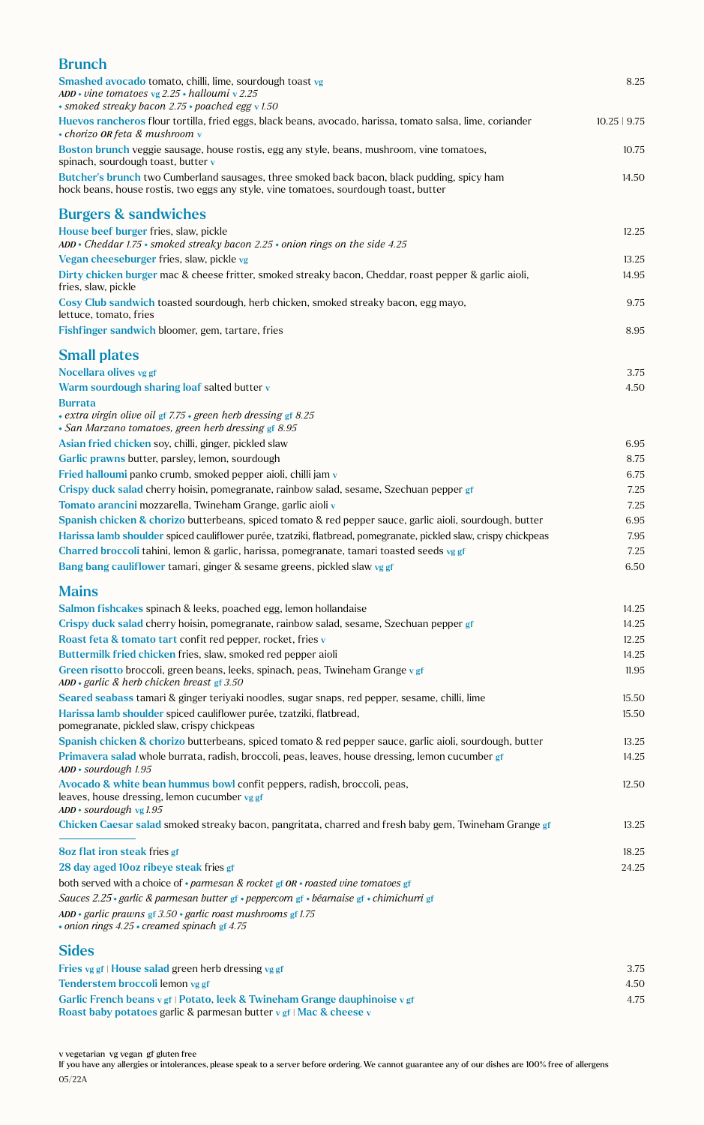| <b>Brunch</b>                                                                                                                                                                       |                |
|-------------------------------------------------------------------------------------------------------------------------------------------------------------------------------------|----------------|
| Smashed avocado tomato, chilli, lime, sourdough toast vg                                                                                                                            | 8.25           |
| ADD • vine tomatoes vg $2.25$ • halloumi v 2.25                                                                                                                                     |                |
| · smoked streaky bacon 2.75 · poached egg v 1.50                                                                                                                                    |                |
| Huevos rancheros flour tortilla, fried eggs, black beans, avocado, harissa, tomato salsa, lime, coriander<br>• chorizo OR feta & mushroom v                                         | $10.25$   9.75 |
| Boston brunch veggie sausage, house rostis, egg any style, beans, mushroom, vine tomatoes,<br>spinach, sourdough toast, butter v                                                    | 10.75          |
| Butcher's brunch two Cumberland sausages, three smoked back bacon, black pudding, spicy ham<br>hock beans, house rostis, two eggs any style, vine tomatoes, sourdough toast, butter | 14.50          |
| <b>Burgers &amp; sandwiches</b>                                                                                                                                                     |                |
| House beef burger fries, slaw, pickle<br>$ADD * Cheddar$ 1.75 $\cdot$ smoked streaky bacon 2.25 $\cdot$ onion rings on the side 4.25                                                | 12.25          |
| Vegan cheeseburger fries, slaw, pickle vg                                                                                                                                           | 13.25          |
| Dirty chicken burger mac & cheese fritter, smoked streaky bacon, Cheddar, roast pepper & garlic aioli,<br>fries, slaw, pickle                                                       | 14.95          |
| Cosy Club sandwich toasted sourdough, herb chicken, smoked streaky bacon, egg mayo,<br>lettuce, tomato, fries                                                                       | 9.75           |
| Fishfinger sandwich bloomer, gem, tartare, fries                                                                                                                                    | 8.95           |
| <b>Small plates</b>                                                                                                                                                                 |                |
| Nocellara olives vg gf                                                                                                                                                              | 3.75           |
| Warm sourdough sharing loaf salted butter v                                                                                                                                         | 4.50           |
| <b>Burrata</b><br>• extra virgin olive oil gf 7.75 · green herb dressing gf 8.25<br>• San Marzano tomatoes, green herb dressing gf 8.95                                             |                |
| Asian fried chicken soy, chilli, ginger, pickled slaw                                                                                                                               | 6.95           |
| Garlic prawns butter, parsley, lemon, sourdough                                                                                                                                     | 8.75           |
| Fried halloumi panko crumb, smoked pepper aioli, chilli jam v                                                                                                                       | 6.75           |
| Crispy duck salad cherry hoisin, pomegranate, rainbow salad, sesame, Szechuan pepper gf                                                                                             | 7.25           |
| Tomato arancini mozzarella, Twineham Grange, garlic aioli v                                                                                                                         | 7.25           |
| Spanish chicken & chorizo butterbeans, spiced tomato & red pepper sauce, garlic aioli, sourdough, butter                                                                            | 6.95           |
| Harissa lamb shoulder spiced cauliflower purée, tzatziki, flatbread, pomegranate, pickled slaw, crispy chickpeas                                                                    | 7.95           |
| Charred broccoli tahini, lemon & garlic, harissa, pomegranate, tamari toasted seeds vg gf                                                                                           | 7.25           |
| Bang bang cauliflower tamari, ginger & sesame greens, pickled slaw vg gf                                                                                                            | 6.50           |
| <b>Mains</b>                                                                                                                                                                        |                |
| Salmon fishcakes spinach & leeks, poached egg, lemon hollandaise                                                                                                                    | 14.25          |
| Crispy duck salad cherry hoisin, pomegranate, rainbow salad, sesame, Szechuan pepper gf                                                                                             | 14.25          |
| Roast feta & tomato tart confit red pepper, rocket, fries v                                                                                                                         | 12.25          |
| Buttermilk fried chicken fries, slaw, smoked red pepper aioli                                                                                                                       | 14.25          |
| Green risotto broccoli, green beans, leeks, spinach, peas, Twineham Grange v gf<br>ADD · garlic & herb chicken breast $gf$ 3.50                                                     | 11.95          |
| Seared seabass tamari & ginger teriyaki noodles, sugar snaps, red pepper, sesame, chilli, lime                                                                                      | 15.50          |
| Harissa lamb shoulder spiced cauliflower purée, tzatziki, flatbread,<br>pomegranate, pickled slaw, crispy chickpeas                                                                 | 15.50          |
| Spanish chicken & chorizo butterbeans, spiced tomato & red pepper sauce, garlic aioli, sourdough, butter                                                                            | 13.25          |
| Primavera salad whole burrata, radish, broccoli, peas, leaves, house dressing, lemon cucumber gf<br>ADD · sourdough 1.95                                                            | 14.25          |
| Avocado & white bean hummus bowl confit peppers, radish, broccoli, peas,<br>leaves, house dressing, lemon cucumber vg gf<br>$ADD * sourdough$ vg 1.95                               | 12.50          |
| Chicken Caesar salad smoked streaky bacon, pangritata, charred and fresh baby gem, Twineham Grange gf                                                                               | 13.25          |
| <b>8oz flat iron steak fries gf</b>                                                                                                                                                 | 18.25          |
|                                                                                                                                                                                     | 24.25          |
| 28 day aged 10oz ribeye steak fries gf<br>both served with a choice of $\cdot$ parmesan & rocket gf OR $\cdot$ roasted vine tomatoes gf                                             |                |
| Sauces 2.25 · garlic & parmesan butter gf · peppercorn gf · béarnaise gf · chimichurri gf                                                                                           |                |
| ADD · garlic prawns gf $3.50$ · garlic roast mushrooms gf 1.75                                                                                                                      |                |
| $\cdot$ onion rings 4.25 $\cdot$ creamed spinach gf 4.75                                                                                                                            |                |
| <b>Sides</b>                                                                                                                                                                        |                |
| Fries vg gf   House salad green herb dressing vg gf                                                                                                                                 | 3.75           |
| Tenderstem broccoli lemon vg gf                                                                                                                                                     | 4.50           |
| Garlic French beans v gf   Potato, leek & Twineham Grange dauphinoise v gf                                                                                                          | 4.75           |

Roast baby potatoes garlic & parmesan butter v gf | Mac & cheese v

v vegetarian vg vegan gf gluten free

If you have any allergies or intolerances, please speak to a server before ordering. We cannot guarantee any of our dishes are 100% free of allergens 05/22A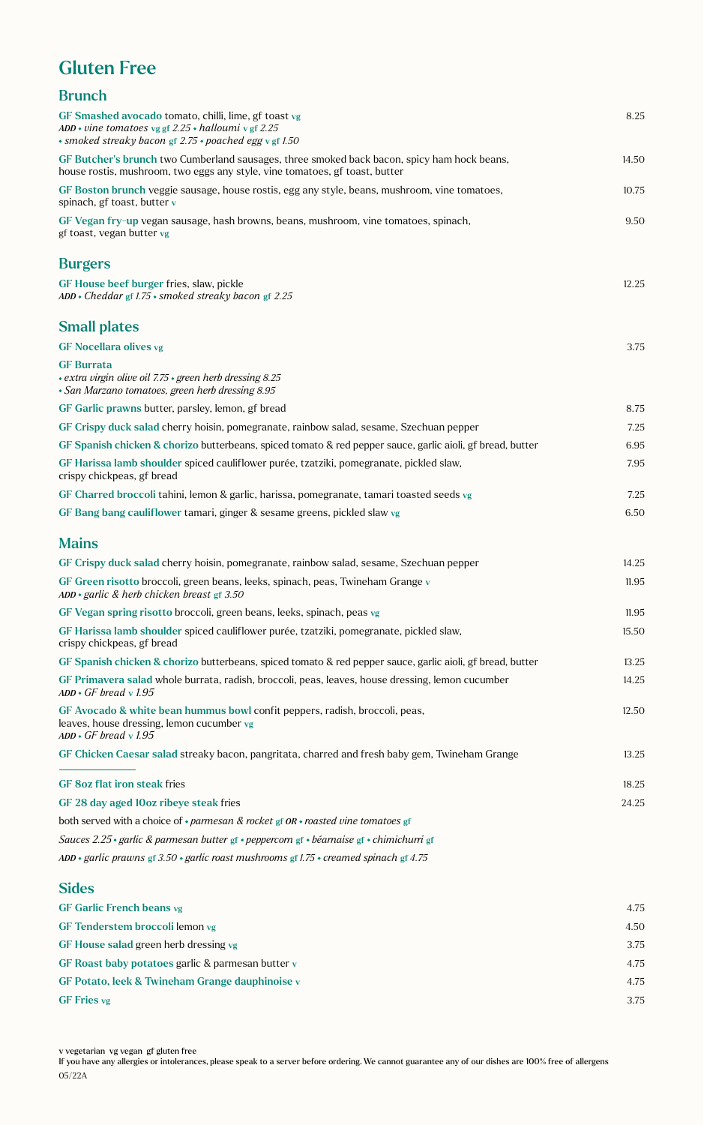# Gluten Free

| <b>Brunch</b>                                                                                                                                                              |       |
|----------------------------------------------------------------------------------------------------------------------------------------------------------------------------|-------|
| GF Smashed avocado tomato, chilli, lime, gf toast vg<br>ADD • vine tomatoes vg gf $2.25$ • halloumi v gf 2.25<br>· smoked streaky bacon gf 2.75 · poached egg v gf 1.50    | 8.25  |
| GF Butcher's brunch two Cumberland sausages, three smoked back bacon, spicy ham hock beans,<br>house rostis, mushroom, two eggs any style, vine tomatoes, gf toast, butter | 14.50 |
| GF Boston brunch veggie sausage, house rostis, egg any style, beans, mushroom, vine tomatoes,<br>spinach, gf toast, butter v                                               | 10.75 |
| GF Vegan fry-up vegan sausage, hash browns, beans, mushroom, vine tomatoes, spinach,<br>gf toast, vegan butter vg                                                          | 9.50  |
| <b>Burgers</b>                                                                                                                                                             |       |
| GF House beef burger fries, slaw, pickle<br>ADD • Cheddar gf 1.75 • smoked streaky bacon gf 2.25                                                                           | 12.25 |
| <b>Small plates</b>                                                                                                                                                        |       |
| <b>GF Nocellara olives vg</b>                                                                                                                                              | 3.75  |
| <b>GF</b> Burrata<br>• extra virgin olive oil 7.75 · green herb dressing 8.25<br>· San Marzano tomatoes, green herb dressing 8.95                                          |       |
| GF Garlic prawns butter, parsley, lemon, gf bread                                                                                                                          | 8.75  |
| GF Crispy duck salad cherry hoisin, pomegranate, rainbow salad, sesame, Szechuan pepper                                                                                    | 7.25  |
| GF Spanish chicken & chorizo butterbeans, spiced tomato & red pepper sauce, garlic aioli, gf bread, butter                                                                 | 6.95  |
| GF Harissa lamb shoulder spiced cauliflower purée, tzatziki, pomegranate, pickled slaw,<br>crispy chickpeas, gf bread                                                      | 7.95  |
| GF Charred broccoli tahini, lemon & garlic, harissa, pomegranate, tamari toasted seeds vg                                                                                  | 7.25  |
| GF Bang bang cauliflower tamari, ginger & sesame greens, pickled slaw vg                                                                                                   | 6.50  |
| <b>Mains</b>                                                                                                                                                               |       |
| GF Crispy duck salad cherry hoisin, pomegranate, rainbow salad, sesame, Szechuan pepper                                                                                    | 14.25 |
| GF Green risotto broccoli, green beans, leeks, spinach, peas, Twineham Grange v<br>ADD · garlic & herb chicken breast gf 3.50                                              | 11.95 |
| GF Vegan spring risotto broccoli, green beans, leeks, spinach, peas vg                                                                                                     | 11.95 |
| GF Harissa lamb shoulder spiced cauliflower purée, tzatziki, pomegranate, pickled slaw,<br>crispy chickpeas, gf bread                                                      | 15.50 |
| GF Spanish chicken & chorizo butterbeans, spiced tomato & red pepper sauce, garlic aioli, gf bread, butter                                                                 | 13.25 |
| GF Primavera salad whole burrata, radish, broccoli, peas, leaves, house dressing, lemon cucumber<br>$ADD \cdot GF$ bread v 1.95                                            | 14.25 |
| GF Avocado & white bean hummus bowl confit peppers, radish, broccoli, peas,<br>leaves, house dressing, lemon cucumber vg<br>$ADD \cdot GF$ bread v 1.95                    | 12.50 |
| GF Chicken Caesar salad streaky bacon, pangritata, charred and fresh baby gem, Twineham Grange                                                                             | 13.25 |
| <b>GF 8oz flat iron steak fries</b>                                                                                                                                        | 18.25 |
| GF 28 day aged 10oz ribeye steak fries                                                                                                                                     | 24.25 |
| both served with a choice of $\cdot$ parmesan & rocket gf OR $\cdot$ roasted vine tomatoes gf                                                                              |       |
| Sauces 2.25 • garlic & parmesan butter gf • peppercorn gf • béarnaise gf • chimichurri gf                                                                                  |       |
| ADD • garlic prawns gf 3.50 • garlic roast mushrooms gf 1.75 • creamed spinach gf 4.75                                                                                     |       |

#### Sides

| <b>GF Garlic French beans vg</b>                  | 4.75 |
|---------------------------------------------------|------|
| GF Tenderstem broccoli lemon vg                   | 4.50 |
| GF House salad green herb dressing vg             | 3.75 |
| GF Roast baby potatoes garlic & parmesan butter v | 4.75 |
| GF Potato, leek & Twineham Grange dauphinoise v   | 4.75 |
| <b>GF</b> Fries vg                                | 3.75 |

If you have any allergies or intolerances, please speak to a server before ordering. We cannot guarantee any of our dishes are 100% free of allergens 05/22A